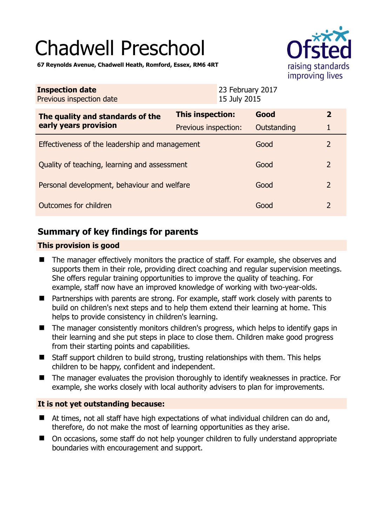# Chadwell Preschool



**67 Reynolds Avenue, Chadwell Heath, Romford, Essex, RM6 4RT** 

| <b>Inspection date</b><br>Previous inspection date        |                      | 23 February 2017<br>15 July 2015 |             |                |
|-----------------------------------------------------------|----------------------|----------------------------------|-------------|----------------|
| The quality and standards of the<br>early years provision | This inspection:     |                                  | Good        | $\overline{2}$ |
|                                                           | Previous inspection: |                                  | Outstanding |                |
| Effectiveness of the leadership and management            |                      |                                  | Good        | $\overline{2}$ |
| Quality of teaching, learning and assessment              |                      |                                  | Good        | $\overline{2}$ |
| Personal development, behaviour and welfare               |                      |                                  | Good        | $\overline{2}$ |
| Outcomes for children                                     |                      |                                  | Good        | $\overline{2}$ |

# **Summary of key findings for parents**

## **This provision is good**

- The manager effectively monitors the practice of staff. For example, she observes and supports them in their role, providing direct coaching and regular supervision meetings. She offers regular training opportunities to improve the quality of teaching. For example, staff now have an improved knowledge of working with two-year-olds.
- Partnerships with parents are strong. For example, staff work closely with parents to build on children's next steps and to help them extend their learning at home. This helps to provide consistency in children's learning.
- The manager consistently monitors children's progress, which helps to identify gaps in their learning and she put steps in place to close them. Children make good progress from their starting points and capabilities.
- Staff support children to build strong, trusting relationships with them. This helps children to be happy, confident and independent.
- The manager evaluates the provision thoroughly to identify weaknesses in practice. For example, she works closely with local authority advisers to plan for improvements.

## **It is not yet outstanding because:**

- At times, not all staff have high expectations of what individual children can do and, therefore, do not make the most of learning opportunities as they arise.
- On occasions, some staff do not help younger children to fully understand appropriate boundaries with encouragement and support.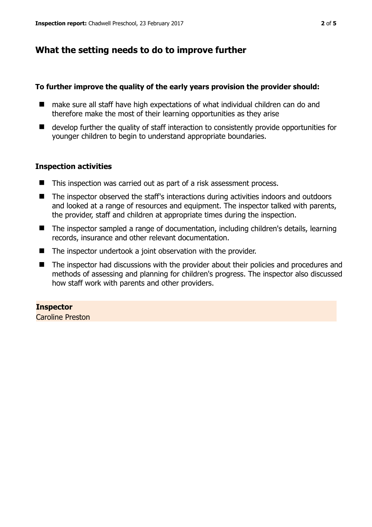# **What the setting needs to do to improve further**

## **To further improve the quality of the early years provision the provider should:**

- make sure all staff have high expectations of what individual children can do and therefore make the most of their learning opportunities as they arise
- develop further the quality of staff interaction to consistently provide opportunities for younger children to begin to understand appropriate boundaries.

## **Inspection activities**

- This inspection was carried out as part of a risk assessment process.
- The inspector observed the staff's interactions during activities indoors and outdoors and looked at a range of resources and equipment. The inspector talked with parents, the provider, staff and children at appropriate times during the inspection.
- The inspector sampled a range of documentation, including children's details, learning records, insurance and other relevant documentation.
- The inspector undertook a joint observation with the provider.
- The inspector had discussions with the provider about their policies and procedures and methods of assessing and planning for children's progress. The inspector also discussed how staff work with parents and other providers.

**Inspector**  Caroline Preston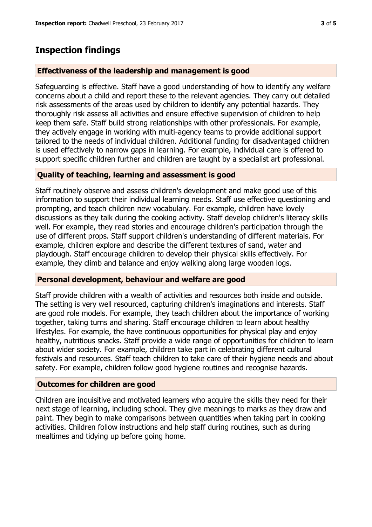## **Inspection findings**

### **Effectiveness of the leadership and management is good**

Safeguarding is effective. Staff have a good understanding of how to identify any welfare concerns about a child and report these to the relevant agencies. They carry out detailed risk assessments of the areas used by children to identify any potential hazards. They thoroughly risk assess all activities and ensure effective supervision of children to help keep them safe. Staff build strong relationships with other professionals. For example, they actively engage in working with multi-agency teams to provide additional support tailored to the needs of individual children. Additional funding for disadvantaged children is used effectively to narrow gaps in learning. For example, individual care is offered to support specific children further and children are taught by a specialist art professional.

#### **Quality of teaching, learning and assessment is good**

Staff routinely observe and assess children's development and make good use of this information to support their individual learning needs. Staff use effective questioning and prompting, and teach children new vocabulary. For example, children have lovely discussions as they talk during the cooking activity. Staff develop children's literacy skills well. For example, they read stories and encourage children's participation through the use of different props. Staff support children's understanding of different materials. For example, children explore and describe the different textures of sand, water and playdough. Staff encourage children to develop their physical skills effectively. For example, they climb and balance and enjoy walking along large wooden logs.

#### **Personal development, behaviour and welfare are good**

Staff provide children with a wealth of activities and resources both inside and outside. The setting is very well resourced, capturing children's imaginations and interests. Staff are good role models. For example, they teach children about the importance of working together, taking turns and sharing. Staff encourage children to learn about healthy lifestyles. For example, the have continuous opportunities for physical play and enjoy healthy, nutritious snacks. Staff provide a wide range of opportunities for children to learn about wider society. For example, children take part in celebrating different cultural festivals and resources. Staff teach children to take care of their hygiene needs and about safety. For example, children follow good hygiene routines and recognise hazards.

### **Outcomes for children are good**

Children are inquisitive and motivated learners who acquire the skills they need for their next stage of learning, including school. They give meanings to marks as they draw and paint. They begin to make comparisons between quantities when taking part in cooking activities. Children follow instructions and help staff during routines, such as during mealtimes and tidying up before going home.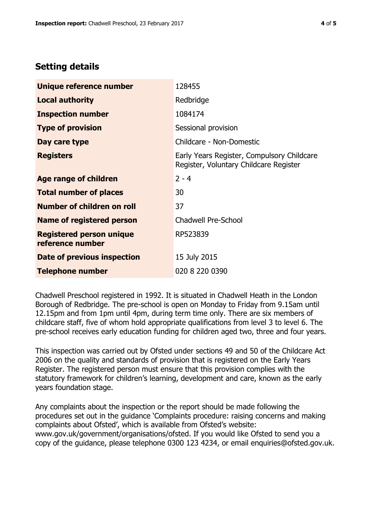# **Setting details**

| Unique reference number                             | 128455                                                                               |  |
|-----------------------------------------------------|--------------------------------------------------------------------------------------|--|
| <b>Local authority</b>                              | Redbridge                                                                            |  |
| <b>Inspection number</b>                            | 1084174                                                                              |  |
| <b>Type of provision</b>                            | Sessional provision                                                                  |  |
| Day care type                                       | Childcare - Non-Domestic                                                             |  |
| <b>Registers</b>                                    | Early Years Register, Compulsory Childcare<br>Register, Voluntary Childcare Register |  |
| Age range of children                               | $2 - 4$                                                                              |  |
| <b>Total number of places</b>                       | 30                                                                                   |  |
| Number of children on roll                          | 37                                                                                   |  |
| Name of registered person                           | <b>Chadwell Pre-School</b>                                                           |  |
| <b>Registered person unique</b><br>reference number | RP523839                                                                             |  |
| Date of previous inspection                         | 15 July 2015                                                                         |  |
| <b>Telephone number</b>                             | 020 8 220 0390                                                                       |  |

Chadwell Preschool registered in 1992. It is situated in Chadwell Heath in the London Borough of Redbridge. The pre-school is open on Monday to Friday from 9.15am until 12.15pm and from 1pm until 4pm, during term time only. There are six members of childcare staff, five of whom hold appropriate qualifications from level 3 to level 6. The pre-school receives early education funding for children aged two, three and four years.

This inspection was carried out by Ofsted under sections 49 and 50 of the Childcare Act 2006 on the quality and standards of provision that is registered on the Early Years Register. The registered person must ensure that this provision complies with the statutory framework for children's learning, development and care, known as the early years foundation stage.

Any complaints about the inspection or the report should be made following the procedures set out in the guidance 'Complaints procedure: raising concerns and making complaints about Ofsted', which is available from Ofsted's website: www.gov.uk/government/organisations/ofsted. If you would like Ofsted to send you a copy of the guidance, please telephone 0300 123 4234, or email enquiries@ofsted.gov.uk.